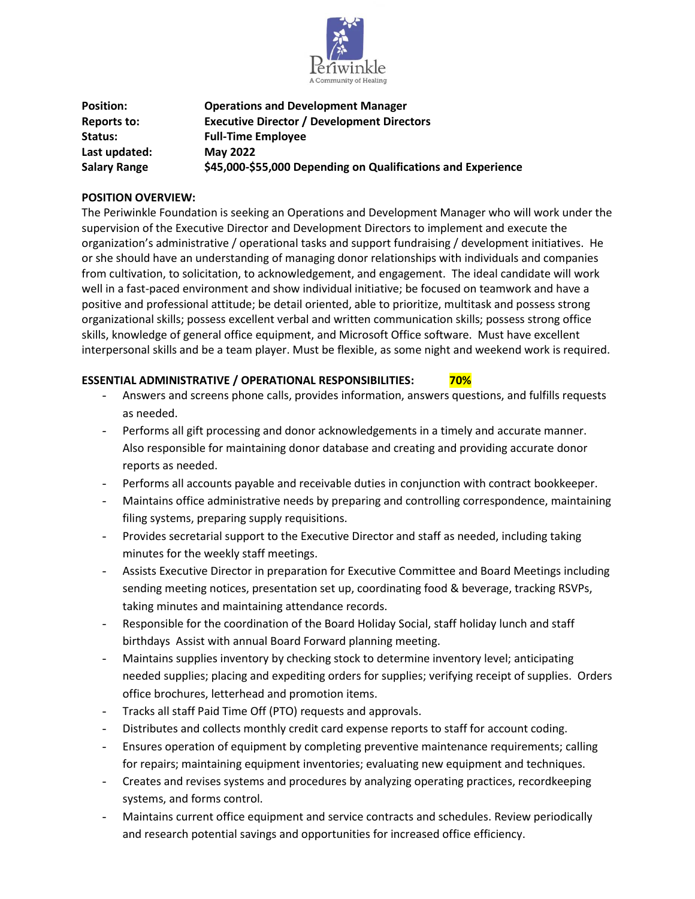

| <b>Position:</b>    | <b>Operations and Development Manager</b>                    |
|---------------------|--------------------------------------------------------------|
| Reports to:         | <b>Executive Director / Development Directors</b>            |
| Status:             | <b>Full-Time Employee</b>                                    |
| Last updated:       | <b>May 2022</b>                                              |
| <b>Salary Range</b> | \$45,000-\$55,000 Depending on Qualifications and Experience |

### **POSITION OVERVIEW:**

The Periwinkle Foundation is seeking an Operations and Development Manager who will work under the supervision of the Executive Director and Development Directors to implement and execute the organization's administrative / operational tasks and support fundraising / development initiatives. He or she should have an understanding of managing donor relationships with individuals and companies from cultivation, to solicitation, to acknowledgement, and engagement. The ideal candidate will work well in a fast-paced environment and show individual initiative; be focused on teamwork and have a positive and professional attitude; be detail oriented, able to prioritize, multitask and possess strong organizational skills; possess excellent verbal and written communication skills; possess strong office skills, knowledge of general office equipment, and Microsoft Office software. Must have excellent interpersonal skills and be a team player. Must be flexible, as some night and weekend work is required.

## **ESSENTIAL ADMINISTRATIVE / OPERATIONAL RESPONSIBILITIES: 70%**

- Answers and screens phone calls, provides information, answers questions, and fulfills requests as needed.
- Performs all gift processing and donor acknowledgements in a timely and accurate manner. Also responsible for maintaining donor database and creating and providing accurate donor reports as needed.
- Performs all accounts payable and receivable duties in conjunction with contract bookkeeper.
- Maintains office administrative needs by preparing and controlling correspondence, maintaining filing systems, preparing supply requisitions.
- Provides secretarial support to the Executive Director and staff as needed, including taking minutes for the weekly staff meetings.
- Assists Executive Director in preparation for Executive Committee and Board Meetings including sending meeting notices, presentation set up, coordinating food & beverage, tracking RSVPs, taking minutes and maintaining attendance records.
- Responsible for the coordination of the Board Holiday Social, staff holiday lunch and staff birthdays Assist with annual Board Forward planning meeting.
- Maintains supplies inventory by checking stock to determine inventory level; anticipating needed supplies; placing and expediting orders for supplies; verifying receipt of supplies. Orders office brochures, letterhead and promotion items.
- Tracks all staff Paid Time Off (PTO) requests and approvals.
- Distributes and collects monthly credit card expense reports to staff for account coding.
- Ensures operation of equipment by completing preventive maintenance requirements; calling for repairs; maintaining equipment inventories; evaluating new equipment and techniques.
- Creates and revises systems and procedures by analyzing operating practices, recordkeeping systems, and forms control.
- Maintains current office equipment and service contracts and schedules. Review periodically and research potential savings and opportunities for increased office efficiency.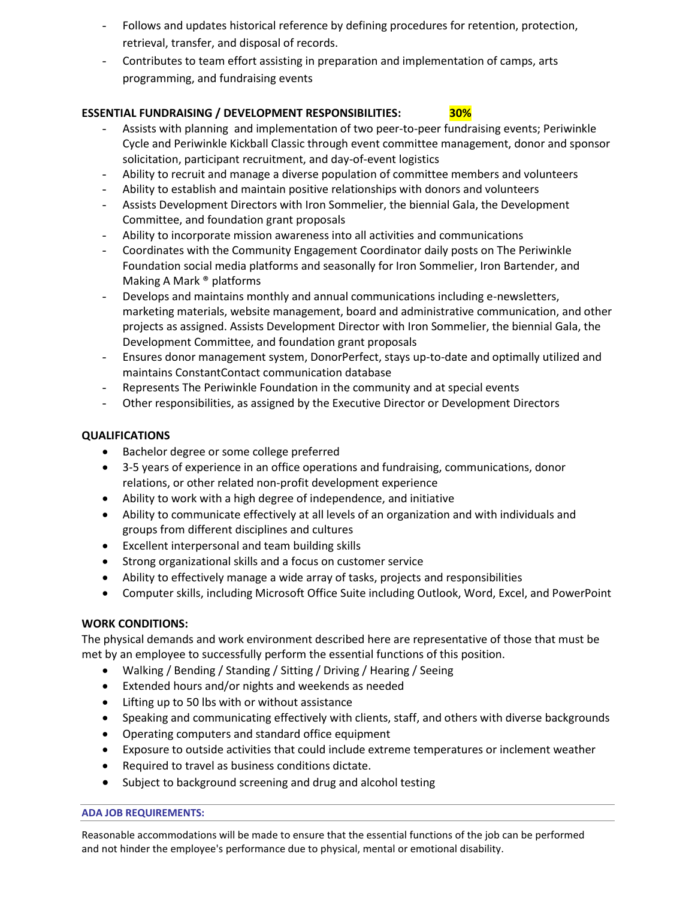- Follows and updates historical reference by defining procedures for retention, protection, retrieval, transfer, and disposal of records.
- Contributes to team effort assisting in preparation and implementation of camps, arts programming, and fundraising events

# **ESSENTIAL FUNDRAISING / DEVELOPMENT RESPONSIBILITIES: 30%**

- Assists with planning and implementation of two peer-to-peer fundraising events; Periwinkle Cycle and Periwinkle Kickball Classic through event committee management, donor and sponsor solicitation, participant recruitment, and day-of-event logistics
- Ability to recruit and manage a diverse population of committee members and volunteers
- Ability to establish and maintain positive relationships with donors and volunteers
- Assists Development Directors with Iron Sommelier, the biennial Gala, the Development Committee, and foundation grant proposals
- Ability to incorporate mission awareness into all activities and communications
- Coordinates with the Community Engagement Coordinator daily posts on The Periwinkle Foundation social media platforms and seasonally for Iron Sommelier, Iron Bartender, and Making A Mark ® platforms
- Develops and maintains monthly and annual communications including e-newsletters, marketing materials, website management, board and administrative communication, and other projects as assigned. Assists Development Director with Iron Sommelier, the biennial Gala, the Development Committee, and foundation grant proposals
- Ensures donor management system, DonorPerfect, stays up-to-date and optimally utilized and maintains ConstantContact communication database
- Represents The Periwinkle Foundation in the community and at special events
- Other responsibilities, as assigned by the Executive Director or Development Directors

# **QUALIFICATIONS**

- Bachelor degree or some college preferred
- 3-5 years of experience in an office operations and fundraising, communications, donor relations, or other related non-profit development experience
- Ability to work with a high degree of independence, and initiative
- Ability to communicate effectively at all levels of an organization and with individuals and groups from different disciplines and cultures
- Excellent interpersonal and team building skills
- Strong organizational skills and a focus on customer service
- Ability to effectively manage a wide array of tasks, projects and responsibilities
- Computer skills, including Microsoft Office Suite including Outlook, Word, Excel, and PowerPoint

# **WORK CONDITIONS:**

The physical demands and work environment described here are representative of those that must be met by an employee to successfully perform the essential functions of this position.

- Walking / Bending / Standing / Sitting / Driving / Hearing / Seeing
- Extended hours and/or nights and weekends as needed
- Lifting up to 50 lbs with or without assistance
- Speaking and communicating effectively with clients, staff, and others with diverse backgrounds
- Operating computers and standard office equipment
- Exposure to outside activities that could include extreme temperatures or inclement weather
- Required to travel as business conditions dictate.
- Subject to background screening and drug and alcohol testing

#### **ADA JOB REQUIREMENTS:**

Reasonable accommodations will be made to ensure that the essential functions of the job can be performed and not hinder the employee's performance due to physical, mental or emotional disability.